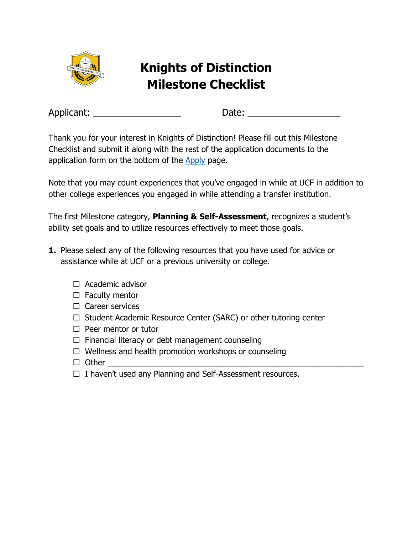

## **Knights of Distinction Milestone Checklist**

Applicant: \_\_\_\_\_\_\_\_\_\_\_\_\_\_\_\_\_ Date: \_\_\_\_\_\_\_\_\_\_\_\_\_\_\_\_\_\_

Thank you for your interest in Knights of Distinction! Please fill out this Milestone Checklist and submit it along with the rest of the application documents to the application form on the bottom of the [Apply](https://explearning.ucf.edu/students/knights-of-distinction/apply/) page.

Note that you may count experiences that you've engaged in while at UCF in addition to other college experiences you engaged in while attending a transfer institution.

The first Milestone category, **Planning & Self-Assessment**, recognizes a student's ability set goals and to utilize resources effectively to meet those goals.

- **1.** Please select any of the following resources that you have used for advice or assistance while at UCF or a previous university or college.
	- $\Box$  Academic advisor
	- $\Box$  Faculty mentor
	- $\Box$  Career services
	- $\Box$  Student Academic Resource Center (SARC) or other tutoring center
	- $\Box$  Peer mentor or tutor
	- $\Box$  Financial literacy or debt management counseling
	- $\Box$  Wellness and health promotion workshops or counseling
	- $\Box$  Other
	- $\Box$  I haven't used any Planning and Self-Assessment resources.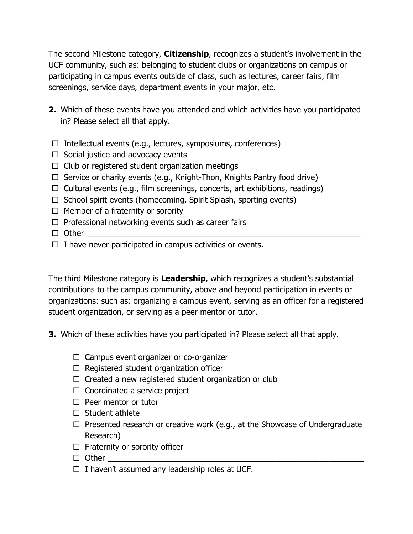The second Milestone category, **Citizenship**, recognizes a student's involvement in the UCF community, such as: belonging to student clubs or organizations on campus or participating in campus events outside of class, such as lectures, career fairs, film screenings, service days, department events in your major, etc.

- **2.** Which of these events have you attended and which activities have you participated in? Please select all that apply.
- $\Box$  Intellectual events (e.g., lectures, symposiums, conferences)
- $\Box$  Social justice and advocacy events
- $\Box$  Club or registered student organization meetings
- $\Box$  Service or charity events (e.g., Knight-Thon, Knights Pantry food drive)
- $\Box$  Cultural events (e.g., film screenings, concerts, art exhibitions, readings)
- $\Box$  School spirit events (homecoming, Spirit Splash, sporting events)
- $\Box$  Member of a fraternity or sorority
- $\Box$  Professional networking events such as career fairs
- $\Box$  Other
- $\Box$  I have never participated in campus activities or events.

The third Milestone category is **Leadership**, which recognizes a student's substantial contributions to the campus community, above and beyond participation in events or organizations: such as: organizing a campus event, serving as an officer for a registered student organization, or serving as a peer mentor or tutor.

- **3.** Which of these activities have you participated in? Please select all that apply.
	- $\Box$  Campus event organizer or co-organizer
	- $\Box$  Registered student organization officer
	- $\Box$  Created a new registered student organization or club
	- $\Box$  Coordinated a service project
	- $\Box$  Peer mentor or tutor
	- $\Box$  Student athlete
	- $\Box$  Presented research or creative work (e.g., at the Showcase of Undergraduate Research)
	- $\Box$  Fraternity or sorority officer
	- $\Box$  Other  $\Box$
	- $\Box$  I haven't assumed any leadership roles at UCF.